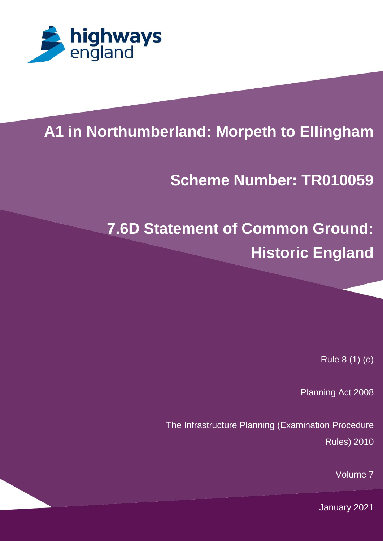

x

# **A1 in Northumberland: Morpeth to Ellingham**

# **Scheme Number: TR010059**

# **7.6D Statement of Common Ground: Historic England**

Rule 8 (1) (e)

Planning Act 2008

The Infrastructure Planning (Examination Procedure Rules) 2010

Volume 7

January 2021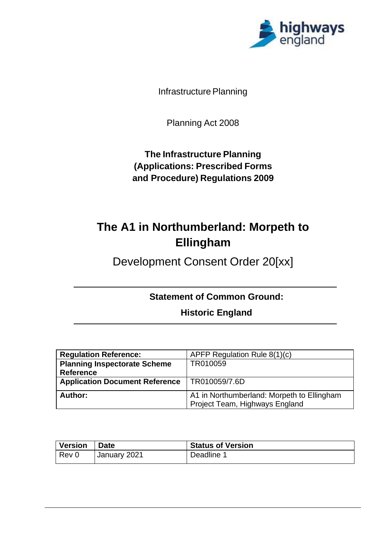

Infrastructure Planning

Planning Act 2008

**The Infrastructure Planning (Applications: Prescribed Forms and Procedure) Regulations 2009**

# **The A1 in Northumberland: Morpeth to Ellingham**

Development Consent Order 20[xx]

**Statement of Common Ground:**

**Historic England**

| <b>Regulation Reference:</b>          | APFP Regulation Rule $8(1)(c)$                                               |
|---------------------------------------|------------------------------------------------------------------------------|
| <b>Planning Inspectorate Scheme</b>   | TR010059                                                                     |
| <b>Reference</b>                      |                                                                              |
| <b>Application Document Reference</b> | TR010059/7.6D                                                                |
| Author:                               | A1 in Northumberland: Morpeth to Ellingham<br>Project Team, Highways England |

| <i>Version</i> | <b>Date</b>  | <b>Status of Version</b> |
|----------------|--------------|--------------------------|
| $Rev$ 0        | January 2021 | Deadline 1               |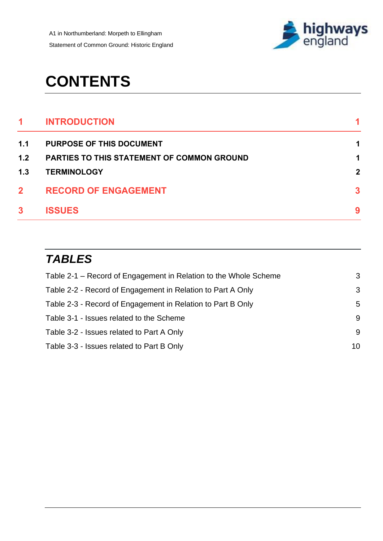

# **CONTENTS**

| 1            | <b>INTRODUCTION</b>                               |              |
|--------------|---------------------------------------------------|--------------|
| 1.1          | <b>PURPOSE OF THIS DOCUMENT</b>                   | 1            |
| 1.2          | <b>PARTIES TO THIS STATEMENT OF COMMON GROUND</b> | 1            |
| 1.3          | <b>TERMINOLOGY</b>                                | $\mathbf{2}$ |
| $\mathbf{2}$ | <b>RECORD OF ENGAGEMENT</b>                       | $\mathbf{3}$ |
| $\mathbf{3}$ | <b>ISSUES</b>                                     | 9            |

# *TABLES*

| Table 2-1 – Record of Engagement in Relation to the Whole Scheme | 3  |
|------------------------------------------------------------------|----|
| Table 2-2 - Record of Engagement in Relation to Part A Only      | 3  |
| Table 2-3 - Record of Engagement in Relation to Part B Only      | 5  |
| Table 3-1 - Issues related to the Scheme                         | 9  |
| Table 3-2 - Issues related to Part A Only                        | 9  |
| Table 3-3 - Issues related to Part B Only                        | 10 |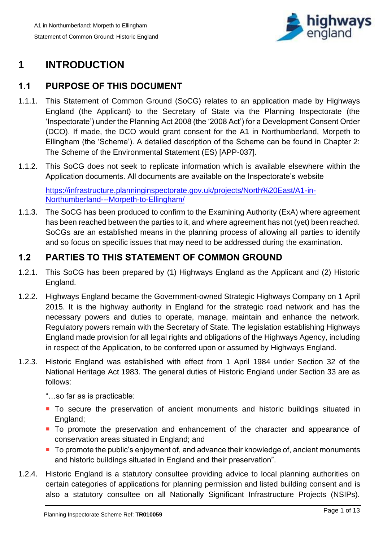

# <span id="page-3-0"></span>**1 INTRODUCTION**

## <span id="page-3-1"></span>**1.1 PURPOSE OF THIS DOCUMENT**

- 1.1.1. This Statement of Common Ground (SoCG) relates to an application made by Highways England (the Applicant) to the Secretary of State via the Planning Inspectorate (the 'Inspectorate') under the Planning Act 2008 (the '2008 Act') for a Development Consent Order (DCO). If made, the DCO would grant consent for the A1 in Northumberland, Morpeth to Ellingham (the 'Scheme'). A detailed description of the Scheme can be found in Chapter 2: The Scheme of the Environmental Statement (ES) [APP-037].
- 1.1.2. This SoCG does not seek to replicate information which is available elsewhere within the Application documents. All documents are available on the Inspectorate's website

[https://infrastructure.planninginspectorate.gov.uk/projects/North%20East/A1-in-](https://infrastructure.planninginspectorate.gov.uk/projects/North%20East/A1-in-Northumberland---Morpeth-to-Ellingham/)[Northumberland---Morpeth-to-Ellingham/](https://infrastructure.planninginspectorate.gov.uk/projects/North%20East/A1-in-Northumberland---Morpeth-to-Ellingham/) 

1.1.3. The SoCG has been produced to confirm to the Examining Authority (ExA) where agreement has been reached between the parties to it, and where agreement has not (yet) been reached. SoCGs are an established means in the planning process of allowing all parties to identify and so focus on specific issues that may need to be addressed during the examination.

## <span id="page-3-2"></span>**1.2 PARTIES TO THIS STATEMENT OF COMMON GROUND**

- 1.2.1. This SoCG has been prepared by (1) Highways England as the Applicant and (2) Historic England.
- 1.2.2. Highways England became the Government-owned Strategic Highways Company on 1 April 2015. It is the highway authority in England for the strategic road network and has the necessary powers and duties to operate, manage, maintain and enhance the network. Regulatory powers remain with the Secretary of State. The legislation establishing Highways England made provision for all legal rights and obligations of the Highways Agency, including in respect of the Application, to be conferred upon or assumed by Highways England.
- 1.2.3. Historic England was established with effect from 1 April 1984 under Section 32 of the National Heritage Act 1983. The general duties of Historic England under Section 33 are as follows:

"…so far as is practicable:

- To secure the preservation of ancient monuments and historic buildings situated in England;
- To promote the preservation and enhancement of the character and appearance of conservation areas situated in England; and
- To promote the public's enjoyment of, and advance their knowledge of, ancient monuments and historic buildings situated in England and their preservation".
- 1.2.4. Historic England is a statutory consultee providing advice to local planning authorities on certain categories of applications for planning permission and listed building consent and is also a statutory consultee on all Nationally Significant Infrastructure Projects (NSIPs).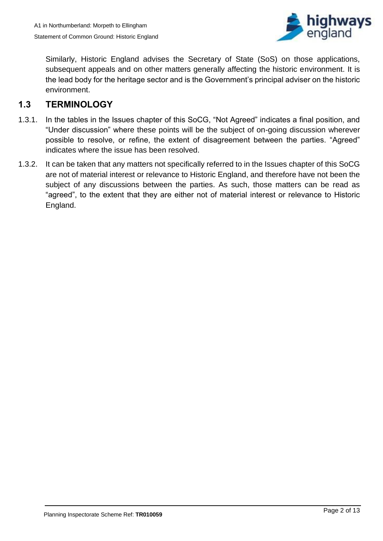

Similarly, Historic England advises the Secretary of State (SoS) on those applications, subsequent appeals and on other matters generally affecting the historic environment. It is the lead body for the heritage sector and is the Government's principal adviser on the historic environment.

## <span id="page-4-0"></span>**1.3 TERMINOLOGY**

- 1.3.1. In the tables in the Issues chapter of this SoCG, "Not Agreed" indicates a final position, and "Under discussion" where these points will be the subject of on-going discussion wherever possible to resolve, or refine, the extent of disagreement between the parties. "Agreed" indicates where the issue has been resolved.
- 1.3.2. It can be taken that any matters not specifically referred to in the Issues chapter of this SoCG are not of material interest or relevance to Historic England, and therefore have not been the subject of any discussions between the parties. As such, those matters can be read as "agreed", to the extent that they are either not of material interest or relevance to Historic England.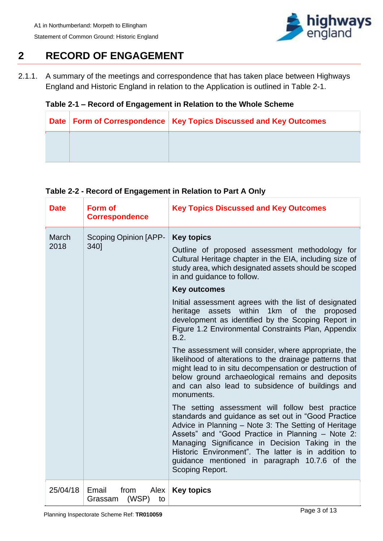

# <span id="page-5-0"></span>**2 RECORD OF ENGAGEMENT**

2.1.1. A summary of the meetings and correspondence that has taken place between Highways England and Historic England in relation to the Application is outlined in Table 2-1.

## <span id="page-5-1"></span>**Table 2-1 – Record of Engagement in Relation to the Whole Scheme**

|  | Date   Form of Correspondence   Key Topics Discussed and Key Outcomes |
|--|-----------------------------------------------------------------------|
|  |                                                                       |
|  |                                                                       |

### <span id="page-5-2"></span>**Table 2-2 - Record of Engagement in Relation to Part A Only**

| <b>Date</b>          | Form of<br><b>Correspondence</b>                | <b>Key Topics Discussed and Key Outcomes</b>                                                                                                                                                                                                                                                                                                                                                      |  |  |  |
|----------------------|-------------------------------------------------|---------------------------------------------------------------------------------------------------------------------------------------------------------------------------------------------------------------------------------------------------------------------------------------------------------------------------------------------------------------------------------------------------|--|--|--|
| <b>March</b><br>2018 | <b>Scoping Opinion [APP-</b><br>340]            | <b>Key topics</b><br>Outline of proposed assessment methodology for<br>Cultural Heritage chapter in the EIA, including size of<br>study area, which designated assets should be scoped<br>in and guidance to follow.                                                                                                                                                                              |  |  |  |
|                      |                                                 | <b>Key outcomes</b>                                                                                                                                                                                                                                                                                                                                                                               |  |  |  |
|                      |                                                 | Initial assessment agrees with the list of designated<br>heritage assets within 1km of the<br>proposed<br>development as identified by the Scoping Report in<br>Figure 1.2 Environmental Constraints Plan, Appendix<br>B.2.                                                                                                                                                                       |  |  |  |
|                      |                                                 | The assessment will consider, where appropriate, the<br>likelihood of alterations to the drainage patterns that<br>might lead to in situ decompensation or destruction of<br>below ground archaeological remains and deposits<br>and can also lead to subsidence of buildings and<br>monuments.                                                                                                   |  |  |  |
|                      |                                                 | The setting assessment will follow best practice<br>standards and guidance as set out in "Good Practice<br>Advice in Planning - Note 3: The Setting of Heritage<br>Assets" and "Good Practice in Planning - Note 2:<br>Managing Significance in Decision Taking in the<br>Historic Environment". The latter is in addition to<br>quidance mentioned in paragraph 10.7.6 of the<br>Scoping Report. |  |  |  |
| 25/04/18             | Email<br>from<br>Alex<br>(WSP)<br>to<br>Grassam | <b>Key topics</b>                                                                                                                                                                                                                                                                                                                                                                                 |  |  |  |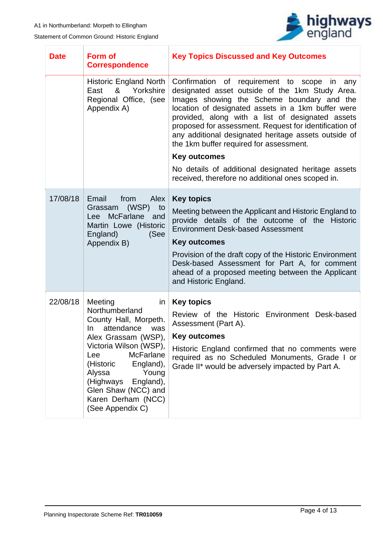

| <b>Date</b> | <b>Form of</b><br><b>Correspondence</b>                                                                                                                                                                                                                                                                  | <b>Key Topics Discussed and Key Outcomes</b>                                                                                                                                                                                                                                                                                                                                                                                                  |  |  |  |
|-------------|----------------------------------------------------------------------------------------------------------------------------------------------------------------------------------------------------------------------------------------------------------------------------------------------------------|-----------------------------------------------------------------------------------------------------------------------------------------------------------------------------------------------------------------------------------------------------------------------------------------------------------------------------------------------------------------------------------------------------------------------------------------------|--|--|--|
|             | <b>Historic England North</b><br>Yorkshire<br>East<br>&<br>Regional Office, (see<br>Appendix A)                                                                                                                                                                                                          | Confirmation of requirement to scope in<br>any<br>designated asset outside of the 1km Study Area.<br>Images showing the Scheme boundary and the<br>location of designated assets in a 1km buffer were<br>provided, along with a list of designated assets<br>proposed for assessment. Request for identification of<br>any additional designated heritage assets outside of<br>the 1km buffer required for assessment.<br><b>Key outcomes</b> |  |  |  |
|             |                                                                                                                                                                                                                                                                                                          | No details of additional designated heritage assets                                                                                                                                                                                                                                                                                                                                                                                           |  |  |  |
|             |                                                                                                                                                                                                                                                                                                          | received, therefore no additional ones scoped in.                                                                                                                                                                                                                                                                                                                                                                                             |  |  |  |
| 17/08/18    | Email<br>from<br>Alex<br>(WSP)<br>to<br>Grassam<br>Lee McFarlane<br>and<br>Martin Lowe (Historic<br>England)<br>(See<br>Appendix B)                                                                                                                                                                      | <b>Key topics</b><br>Meeting between the Applicant and Historic England to<br>provide details of the outcome of the Historic<br><b>Environment Desk-based Assessment</b><br><b>Key outcomes</b><br>Provision of the draft copy of the Historic Environment<br>Desk-based Assessment for Part A, for comment<br>ahead of a proposed meeting between the Applicant<br>and Historic England.                                                     |  |  |  |
| 22/08/18    | Meeting<br>in<br>Northumberland<br>County Hall, Morpeth.<br>attendance<br>In.<br>was<br>Alex Grassam (WSP),<br>Victoria Wilson (WSP),<br><b>McFarlane</b><br>Lee<br>(Historic<br>England),<br>Alyssa<br>Young<br>(Highways<br>England),<br>Glen Shaw (NCC) and<br>Karen Derham (NCC)<br>(See Appendix C) | <b>Key topics</b><br>Review of the Historic Environment Desk-based<br>Assessment (Part A).<br><b>Key outcomes</b><br>Historic England confirmed that no comments were<br>required as no Scheduled Monuments, Grade I or<br>Grade II* would be adversely impacted by Part A.                                                                                                                                                                   |  |  |  |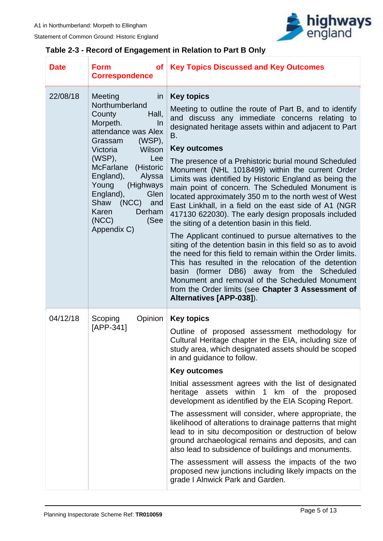T

Statement of Common Ground: Historic England



## <span id="page-7-0"></span>**Table 2-3 - Record of Engagement in Relation to Part B Only**

٦

| <b>Date</b> | <b>Form</b><br>of <sub>1</sub><br><b>Correspondence</b>                                                                                                                                                                                                                                                                           | <b>Key Topics Discussed and Key Outcomes</b>                                                                                                                                                                                                                                                                                                                                                                                                                                                                                                                                                                                                                                                                                                                                                                                                                                                                                                                                                                                                                                                             |  |
|-------------|-----------------------------------------------------------------------------------------------------------------------------------------------------------------------------------------------------------------------------------------------------------------------------------------------------------------------------------|----------------------------------------------------------------------------------------------------------------------------------------------------------------------------------------------------------------------------------------------------------------------------------------------------------------------------------------------------------------------------------------------------------------------------------------------------------------------------------------------------------------------------------------------------------------------------------------------------------------------------------------------------------------------------------------------------------------------------------------------------------------------------------------------------------------------------------------------------------------------------------------------------------------------------------------------------------------------------------------------------------------------------------------------------------------------------------------------------------|--|
| 22/08/18    | Meeting<br>in<br>Northumberland<br>Hall,<br>County<br>Morpeth.<br>In<br>attendance was Alex<br>$(WSP)$ ,<br>Grassam<br>Wilson<br>Victoria<br>$(WSP)$ ,<br>Lee<br>McFarlane (Historic<br>England),<br>Alyssa<br>(Highways<br>Young<br>England),<br>Glen<br>(NCC)<br>Shaw<br>and<br>Karen<br>Derham<br>(NCC)<br>(See<br>Appendix C) | <b>Key topics</b><br>Meeting to outline the route of Part B, and to identify<br>and discuss any immediate concerns relating to<br>designated heritage assets within and adjacent to Part<br>B.<br><b>Key outcomes</b><br>The presence of a Prehistoric burial mound Scheduled<br>Monument (NHL 1018499) within the current Order<br>Limits was identified by Historic England as being the<br>main point of concern. The Scheduled Monument is<br>located approximately 350 m to the north west of West<br>East Linkhall, in a field on the east side of A1 (NGR<br>417130 622030). The early design proposals included<br>the siting of a detention basin in this field.<br>The Applicant continued to pursue alternatives to the<br>siting of the detention basin in this field so as to avoid<br>the need for this field to remain within the Order limits.<br>This has resulted in the relocation of the detention<br>basin (former DB6) away from the Scheduled<br>Monument and removal of the Scheduled Monument<br>from the Order limits (see Chapter 3 Assessment of<br>Alternatives [APP-038]). |  |
| 04/12/18    | Scoping<br>Opinion<br>[APP-341]                                                                                                                                                                                                                                                                                                   | <b>Key topics</b><br>Outline of proposed assessment methodology for<br>Cultural Heritage chapter in the EIA, including size of<br>study area, which designated assets should be scoped<br>in and guidance to follow.<br><b>Key outcomes</b><br>Initial assessment agrees with the list of designated<br>heritage assets within 1 km of the proposed<br>development as identified by the EIA Scoping Report.<br>The assessment will consider, where appropriate, the<br>likelihood of alterations to drainage patterns that might<br>lead to in situ decomposition or destruction of below<br>ground archaeological remains and deposits, and can<br>also lead to subsidence of buildings and monuments.<br>The assessment will assess the impacts of the two<br>proposed new junctions including likely impacts on the<br>grade I Alnwick Park and Garden.                                                                                                                                                                                                                                               |  |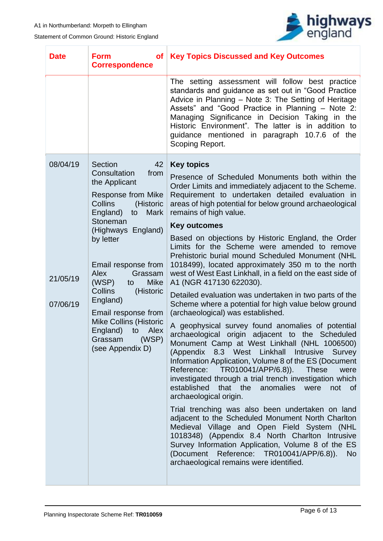

| <b>Date</b>                      | <b>Form</b><br>of <sub>1</sub><br><b>Correspondence</b>                                                                                                                                                                                                                                                                                                                                                                           | <b>Key Topics Discussed and Key Outcomes</b>                                                                                                                                                                                                                                                                                                                                                                                                                                                                                                                                                                                                                                                                                                                                                                                                                                                                                                                                                                                                                                                                                                                                                                                                                                                                                                                                                                                                                                                                                                                                                      |  |  |
|----------------------------------|-----------------------------------------------------------------------------------------------------------------------------------------------------------------------------------------------------------------------------------------------------------------------------------------------------------------------------------------------------------------------------------------------------------------------------------|---------------------------------------------------------------------------------------------------------------------------------------------------------------------------------------------------------------------------------------------------------------------------------------------------------------------------------------------------------------------------------------------------------------------------------------------------------------------------------------------------------------------------------------------------------------------------------------------------------------------------------------------------------------------------------------------------------------------------------------------------------------------------------------------------------------------------------------------------------------------------------------------------------------------------------------------------------------------------------------------------------------------------------------------------------------------------------------------------------------------------------------------------------------------------------------------------------------------------------------------------------------------------------------------------------------------------------------------------------------------------------------------------------------------------------------------------------------------------------------------------------------------------------------------------------------------------------------------------|--|--|
|                                  |                                                                                                                                                                                                                                                                                                                                                                                                                                   | The setting assessment will follow best practice<br>standards and guidance as set out in "Good Practice<br>Advice in Planning - Note 3: The Setting of Heritage<br>Assets" and "Good Practice in Planning - Note 2:<br>Managing Significance in Decision Taking in the<br>Historic Environment". The latter is in addition to<br>guidance mentioned in paragraph 10.7.6 of the<br>Scoping Report.                                                                                                                                                                                                                                                                                                                                                                                                                                                                                                                                                                                                                                                                                                                                                                                                                                                                                                                                                                                                                                                                                                                                                                                                 |  |  |
| 08/04/19<br>21/05/19<br>07/06/19 | Section<br>42<br>Consultation<br>from<br>the Applicant<br>Response from Mike<br>Collins<br>(Historic<br>England)<br><b>Mark</b><br>to<br>Stoneman<br>(Highways England)<br>by letter<br>Email response from<br><b>Alex</b><br>Grassam<br>(WSP)<br><b>Mike</b><br>to<br>Collins<br>(Historic<br>England)<br>Email response from<br><b>Mike Collins (Historic</b><br>England)<br>to<br>Alex<br>(WSP)<br>Grassam<br>(see Appendix D) | <b>Key topics</b><br>Presence of Scheduled Monuments both within the<br>Order Limits and immediately adjacent to the Scheme.<br>Requirement to undertaken detailed evaluation in<br>areas of high potential for below ground archaeological<br>remains of high value.<br><b>Key outcomes</b><br>Based on objections by Historic England, the Order<br>Limits for the Scheme were amended to remove<br>Prehistoric burial mound Scheduled Monument (NHL<br>1018499), located approximately 350 m to the north<br>west of West East Linkhall, in a field on the east side of<br>A1 (NGR 417130 622030).<br>Detailed evaluation was undertaken in two parts of the<br>Scheme where a potential for high value below ground<br>(archaeological) was established.<br>A geophysical survey found anomalies of potential<br>archaeological origin adjacent to the Scheduled<br>Monument Camp at West Linkhall (NHL 1006500)<br>(Appendix<br>8.3 West Linkhall<br>Intrusive<br>Survey<br>Information Application, Volume 8 of the ES (Document<br>Reference: TR010041/APP/6.8)). These<br>were<br>investigated through a trial trench investigation which<br>established that the anomalies were<br>not of<br>archaeological origin.<br>Trial trenching was also been undertaken on land<br>adjacent to the Scheduled Monument North Charlton<br>Medieval Village and Open Field System (NHL<br>1018348) (Appendix 8.4 North Charlton Intrusive<br>Survey Information Application, Volume 8 of the ES<br>(Document Reference: TR010041/APP/6.8)).<br><b>No</b><br>archaeological remains were identified. |  |  |
|                                  |                                                                                                                                                                                                                                                                                                                                                                                                                                   |                                                                                                                                                                                                                                                                                                                                                                                                                                                                                                                                                                                                                                                                                                                                                                                                                                                                                                                                                                                                                                                                                                                                                                                                                                                                                                                                                                                                                                                                                                                                                                                                   |  |  |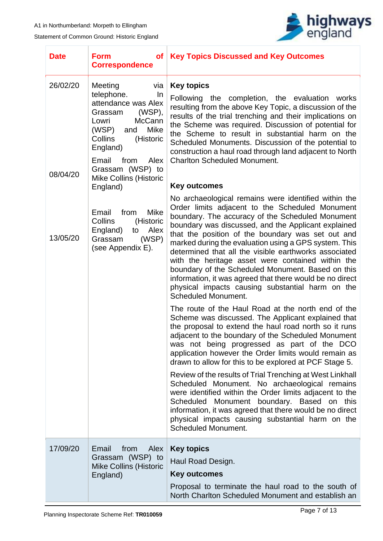

| <b>Date</b>          | <b>Form</b><br>of <sub>1</sub><br><b>Correspondence</b>                                                                                                                                                                                                    | <b>Key Topics Discussed and Key Outcomes</b>                                                                                                                                                                                                                                                                                                                                                                                                                                                                                                                                                                                                                                                                                                                  |  |  |
|----------------------|------------------------------------------------------------------------------------------------------------------------------------------------------------------------------------------------------------------------------------------------------------|---------------------------------------------------------------------------------------------------------------------------------------------------------------------------------------------------------------------------------------------------------------------------------------------------------------------------------------------------------------------------------------------------------------------------------------------------------------------------------------------------------------------------------------------------------------------------------------------------------------------------------------------------------------------------------------------------------------------------------------------------------------|--|--|
| 26/02/20<br>08/04/20 | Meeting<br>via<br>telephone.<br>In.<br>attendance was Alex<br>(WSP),<br>Grassam<br><b>McCann</b><br>Lowri<br>(WSP)<br>Mike<br>and<br>(Historic<br><b>Collins</b><br>England)<br>Email<br>from<br>Alex<br>Grassam (WSP) to<br><b>Mike Collins (Historic</b> | <b>Key topics</b><br>Following the completion, the evaluation works<br>resulting from the above Key Topic, a discussion of the<br>results of the trial trenching and their implications on<br>the Scheme was required. Discussion of potential for<br>the Scheme to result in substantial harm on the<br>Scheduled Monuments. Discussion of the potential to<br>construction a haul road through land adjacent to North<br><b>Charlton Scheduled Monument.</b>                                                                                                                                                                                                                                                                                                |  |  |
|                      | England)                                                                                                                                                                                                                                                   | <b>Key outcomes</b>                                                                                                                                                                                                                                                                                                                                                                                                                                                                                                                                                                                                                                                                                                                                           |  |  |
| 13/05/20             | Email<br>from<br>Mike<br>Collins<br>(Historic<br>England)<br>Alex<br>to<br>(WSP)<br>Grassam<br>(see Appendix E).                                                                                                                                           | No archaeological remains were identified within the<br>Order limits adjacent to the Scheduled Monument<br>boundary. The accuracy of the Scheduled Monument<br>boundary was discussed, and the Applicant explained<br>that the position of the boundary was set out and<br>marked during the evaluation using a GPS system. This<br>determined that all the visible earthworks associated<br>with the heritage asset were contained within the<br>boundary of the Scheduled Monument. Based on this<br>information, it was agreed that there would be no direct<br>physical impacts causing substantial harm on the<br><b>Scheduled Monument.</b>                                                                                                             |  |  |
|                      |                                                                                                                                                                                                                                                            | The route of the Haul Road at the north end of the<br>Scheme was discussed. The Applicant explained that<br>the proposal to extend the haul road north so it runs<br>adjacent to the boundary of the Scheduled Monument<br>was not being progressed as part of the DCO<br>application however the Order limits would remain as<br>drawn to allow for this to be explored at PCF Stage 5.<br>Review of the results of Trial Trenching at West Linkhall<br>Scheduled Monument. No archaeological remains<br>were identified within the Order limits adjacent to the<br>Scheduled Monument boundary. Based on this<br>information, it was agreed that there would be no direct<br>physical impacts causing substantial harm on the<br><b>Scheduled Monument.</b> |  |  |
| 17/09/20             | from<br>Email<br>Alex<br>Grassam (WSP) to<br><b>Mike Collins (Historic</b><br>England)                                                                                                                                                                     | <b>Key topics</b><br>Haul Road Design.<br><b>Key outcomes</b><br>Proposal to terminate the haul road to the south of<br>North Charlton Scheduled Monument and establish an                                                                                                                                                                                                                                                                                                                                                                                                                                                                                                                                                                                    |  |  |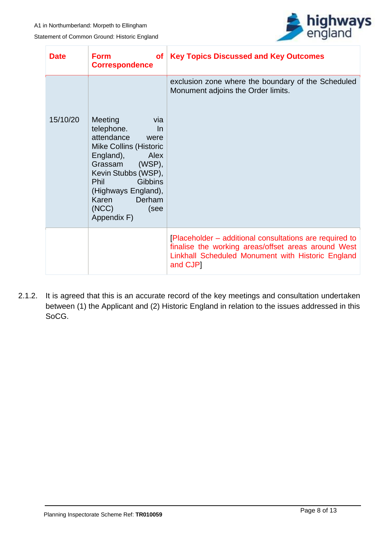

| <b>Date</b> | <b>Form</b><br><b>of</b><br><b>Correspondence</b>                                                                                                                                                                                                     | <b>Key Topics Discussed and Key Outcomes</b>                                                                                                                                    |  |  |
|-------------|-------------------------------------------------------------------------------------------------------------------------------------------------------------------------------------------------------------------------------------------------------|---------------------------------------------------------------------------------------------------------------------------------------------------------------------------------|--|--|
| 15/10/20    | <b>Meeting</b><br>via<br>telephone.<br>$\ln$<br>attendance<br>were<br><b>Mike Collins (Historic</b><br>England), Alex<br>Grassam (WSP),<br>Kevin Stubbs (WSP),<br>Phil Gibbins<br>(Highways England),<br>Karen Derham<br>(NCC)<br>(see<br>Appendix F) | exclusion zone where the boundary of the Scheduled<br>Monument adjoins the Order limits.                                                                                        |  |  |
|             |                                                                                                                                                                                                                                                       | [Placeholder – additional consultations are required to<br>finalise the working areas/offset areas around West<br>Linkhall Scheduled Monument with Historic England<br>and CJP] |  |  |

2.1.2. It is agreed that this is an accurate record of the key meetings and consultation undertaken between (1) the Applicant and (2) Historic England in relation to the issues addressed in this SoCG.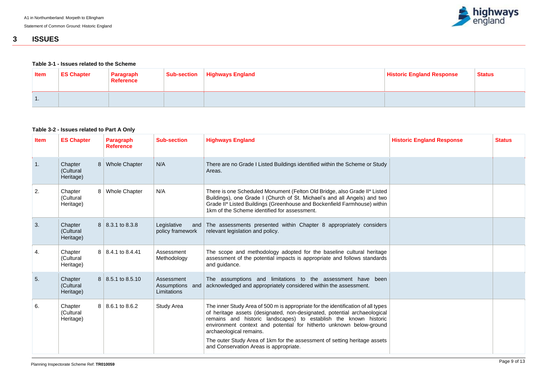

## <span id="page-11-0"></span>**3 ISSUES**

#### <span id="page-11-1"></span>**Table 3-1 - Issues related to the Scheme**

| <b>Item</b> | <b>ES Chapter</b> | <b>∣ Paragraph</b><br><b>Reference</b> | Sub-section   Highways England | <b>Historic England Response</b> | <b>Status</b> |
|-------------|-------------------|----------------------------------------|--------------------------------|----------------------------------|---------------|
| -1.         |                   |                                        |                                |                                  |               |

### <span id="page-11-2"></span>**Table 3-2 - Issues related to Part A Only**

| <b>Item</b> | <b>ES Chapter</b>                 |                | <b>Paragraph</b><br><b>Reference</b> | <b>Sub-section</b>                           | <b>Highways England</b>                                                                                                                                                                                                                                                                                                                                                                                                                                   | <b>Historic England Response</b> | <b>Status</b> |
|-------------|-----------------------------------|----------------|--------------------------------------|----------------------------------------------|-----------------------------------------------------------------------------------------------------------------------------------------------------------------------------------------------------------------------------------------------------------------------------------------------------------------------------------------------------------------------------------------------------------------------------------------------------------|----------------------------------|---------------|
| 1.          | Chapter<br>(Cultural<br>Heritage) | 8 <sup>1</sup> | <b>Whole Chapter</b>                 | N/A                                          | There are no Grade I Listed Buildings identified within the Scheme or Study<br>Areas.                                                                                                                                                                                                                                                                                                                                                                     |                                  |               |
| 2.          | Chapter<br>(Cultural<br>Heritage) |                | 8   Whole Chapter                    | N/A                                          | There is one Scheduled Monument (Felton Old Bridge, also Grade II* Listed<br>Buildings), one Grade I (Church of St. Michael's and all Angels) and two<br>Grade II* Listed Buildings (Greenhouse and Bockenfield Farmhouse) within<br>1km of the Scheme identified for assessment.                                                                                                                                                                         |                                  |               |
| 3.          | Chapter<br>(Cultural<br>Heritage) |                | $8$   8.3.1 to 8.3.8                 | Legislative<br>and<br>policy framework       | The assessments presented within Chapter 8 appropriately considers<br>relevant legislation and policy.                                                                                                                                                                                                                                                                                                                                                    |                                  |               |
| 4.          | Chapter<br>(Cultural<br>Heritage) |                | $8 \mid 8.4.1$ to 8.4.41             | Assessment<br>Methodology                    | The scope and methodology adopted for the baseline cultural heritage<br>assessment of the potential impacts is appropriate and follows standards<br>and guidance.                                                                                                                                                                                                                                                                                         |                                  |               |
| 5.          | Chapter<br>(Cultural<br>Heritage) |                | $8 \mid 8.5.1$ to 8.5.10             | Assessment<br>Assumptions and<br>Limitations | The assumptions and limitations to the assessment have been<br>acknowledged and appropriately considered within the assessment.                                                                                                                                                                                                                                                                                                                           |                                  |               |
| 6.          | Chapter<br>(Cultural<br>Heritage) |                | $8 \mid 8.6.1$ to 8.6.2              | <b>Study Area</b>                            | The inner Study Area of 500 m is appropriate for the identification of all types<br>of heritage assets (designated, non-designated, potential archaeological<br>remains and historic landscapes) to establish the known historic<br>environment context and potential for hitherto unknown below-ground<br>archaeological remains.<br>The outer Study Area of 1km for the assessment of setting heritage assets<br>and Conservation Areas is appropriate. |                                  |               |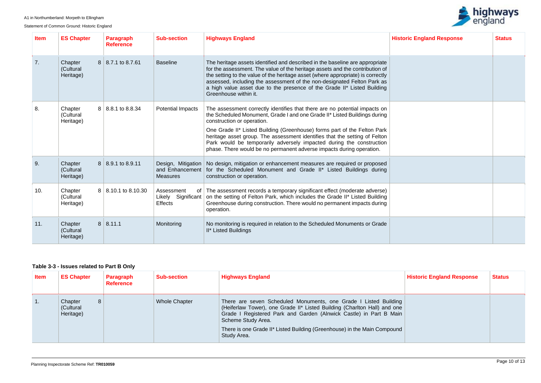Statement of Common Ground: Historic England



| <b>Item</b>      | <b>ES Chapter</b>                 |                | <b>Paragraph</b><br><b>Reference</b> | <b>Sub-section</b>                                       | <b>Highways England</b>                                                                                                                                                                                                                                                                                                                                                                                                                                                                         | <b>Historic England Response</b> | <b>Status</b> |
|------------------|-----------------------------------|----------------|--------------------------------------|----------------------------------------------------------|-------------------------------------------------------------------------------------------------------------------------------------------------------------------------------------------------------------------------------------------------------------------------------------------------------------------------------------------------------------------------------------------------------------------------------------------------------------------------------------------------|----------------------------------|---------------|
| $\overline{7}$ . | Chapter<br>(Cultural<br>Heritage) |                | $8 \mid 8.7.1$ to 8.7.61             | <b>Baseline</b>                                          | The heritage assets identified and described in the baseline are appropriate<br>for the assessment. The value of the heritage assets and the contribution of<br>the setting to the value of the heritage asset (where appropriate) is correctly<br>assessed, including the assessment of the non-designated Felton Park as<br>a high value asset due to the presence of the Grade II* Listed Building<br>Greenhouse within it.                                                                  |                                  |               |
| 8.               | Chapter<br>(Cultural<br>Heritage) |                | $8 \mid 8.8.1$ to 8.8.34             | <b>Potential Impacts</b>                                 | The assessment correctly identifies that there are no potential impacts on<br>the Scheduled Monument, Grade I and one Grade II* Listed Buildings during<br>construction or operation.<br>One Grade II* Listed Building (Greenhouse) forms part of the Felton Park<br>heritage asset group. The assessment identifies that the setting of Felton<br>Park would be temporarily adversely impacted during the construction<br>phase. There would be no permanent adverse impacts during operation. |                                  |               |
| 9.               | Chapter<br>(Cultural<br>Heritage) |                | $8 \mid 8.9.1$ to 8.9.11             | Design, Mitigation<br>and Enhancement<br><b>Measures</b> | No design, mitigation or enhancement measures are required or proposed<br>for the Scheduled Monument and Grade II* Listed Buildings during<br>construction or operation.                                                                                                                                                                                                                                                                                                                        |                                  |               |
| 10.              | Chapter<br>(Cultural<br>Heritage) |                | $8 \mid 8.10.1$ to 8.10.30           | Assessment<br>of<br>Likely Significant<br><b>Effects</b> | The assessment records a temporary significant effect (moderate adverse)<br>on the setting of Felton Park, which includes the Grade II* Listed Building<br>Greenhouse during construction. There would no permanent impacts during<br>operation.                                                                                                                                                                                                                                                |                                  |               |
| 11.              | Chapter<br>(Cultural<br>Heritage) | 8 <sup>1</sup> | 8.11.1                               | Monitoring                                               | No monitoring is required in relation to the Scheduled Monuments or Grade<br>II* Listed Buildings                                                                                                                                                                                                                                                                                                                                                                                               |                                  |               |

### <span id="page-12-0"></span>**Table 3-3 - Issues related to Part B Only**

| <b>Item</b>      | <b>ES Chapter</b>                      | Paragraph<br><b>Reference</b> | <b>Sub-section</b>   | <b>Highways England</b>                                                                                                                                                                                                                                                                                                             | <b>Historic England Response</b> | <b>Status</b> |
|------------------|----------------------------------------|-------------------------------|----------------------|-------------------------------------------------------------------------------------------------------------------------------------------------------------------------------------------------------------------------------------------------------------------------------------------------------------------------------------|----------------------------------|---------------|
| $\overline{1}$ . | Chapter<br>8<br>(Cultural<br>Heritage) |                               | <b>Whole Chapter</b> | There are seven Scheduled Monuments, one Grade I Listed Building<br>(Heiferlaw Tower), one Grade II* Listed Building (Charlton Hall) and one<br>Grade I Registered Park and Garden (Alnwick Castle) in Part B Main<br>Scheme Study Area.<br>There is one Grade II* Listed Building (Greenhouse) in the Main Compound<br>Study Area. |                                  |               |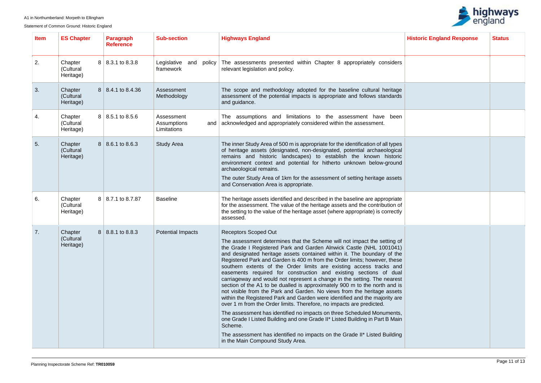

| <b>Item</b> | <b>ES Chapter</b>                 | <b>Paragraph</b><br><b>Reference</b> | <b>Sub-section</b>                              | <b>Highways England</b>                                                                                                                                                                                                                                                                                                                                                                                                                                                                                                                                                                                                                                                                                                                                                                                                                                                                                                                                                                                                                                                                                                                                             | <b>Historic England Response</b> | <b>Status</b> |
|-------------|-----------------------------------|--------------------------------------|-------------------------------------------------|---------------------------------------------------------------------------------------------------------------------------------------------------------------------------------------------------------------------------------------------------------------------------------------------------------------------------------------------------------------------------------------------------------------------------------------------------------------------------------------------------------------------------------------------------------------------------------------------------------------------------------------------------------------------------------------------------------------------------------------------------------------------------------------------------------------------------------------------------------------------------------------------------------------------------------------------------------------------------------------------------------------------------------------------------------------------------------------------------------------------------------------------------------------------|----------------------------------|---------------|
| 2.          | Chapter<br>(Cultural<br>Heritage) | 8 8.3.1 to 8.3.8                     | Legislative and policy<br>framework             | The assessments presented within Chapter 8 appropriately considers<br>relevant legislation and policy.                                                                                                                                                                                                                                                                                                                                                                                                                                                                                                                                                                                                                                                                                                                                                                                                                                                                                                                                                                                                                                                              |                                  |               |
| 3.          | Chapter<br>(Cultural<br>Heritage) | 8 8.4.1 to 8.4.36                    | Assessment<br>Methodology                       | The scope and methodology adopted for the baseline cultural heritage<br>assessment of the potential impacts is appropriate and follows standards<br>and guidance.                                                                                                                                                                                                                                                                                                                                                                                                                                                                                                                                                                                                                                                                                                                                                                                                                                                                                                                                                                                                   |                                  |               |
| 4.          | Chapter<br>(Cultural<br>Heritage) | $8$   8.5.1 to 8.5.6                 | Assessment<br>Assumptions<br>and<br>Limitations | The assumptions and limitations to the assessment have been<br>acknowledged and appropriately considered within the assessment.                                                                                                                                                                                                                                                                                                                                                                                                                                                                                                                                                                                                                                                                                                                                                                                                                                                                                                                                                                                                                                     |                                  |               |
| 5.          | Chapter<br>(Cultural<br>Heritage) | $8 \mid 8.6.1 \text{ to } 8.6.3$     | <b>Study Area</b>                               | The inner Study Area of 500 m is appropriate for the identification of all types<br>of heritage assets (designated, non-designated, potential archaeological<br>remains and historic landscapes) to establish the known historic<br>environment context and potential for hitherto unknown below-ground<br>archaeological remains.<br>The outer Study Area of 1km for the assessment of setting heritage assets<br>and Conservation Area is appropriate.                                                                                                                                                                                                                                                                                                                                                                                                                                                                                                                                                                                                                                                                                                            |                                  |               |
| 6.          | Chapter<br>(Cultural<br>Heritage) | 8 8.7.1 to 8.7.87                    | <b>Baseline</b>                                 | The heritage assets identified and described in the baseline are appropriate<br>for the assessment. The value of the heritage assets and the contribution of<br>the setting to the value of the heritage asset (where appropriate) is correctly<br>assessed.                                                                                                                                                                                                                                                                                                                                                                                                                                                                                                                                                                                                                                                                                                                                                                                                                                                                                                        |                                  |               |
| 7.          | Chapter<br>(Cultural<br>Heritage) | 8 8.8.1 to 8.8.3                     | <b>Potential Impacts</b>                        | <b>Receptors Scoped Out</b><br>The assessment determines that the Scheme will not impact the setting of<br>the Grade I Registered Park and Garden Alnwick Castle (NHL 1001041)<br>and designated heritage assets contained within it. The boundary of the<br>Registered Park and Garden is 400 m from the Order limits; however, these<br>southern extents of the Order limits are existing access tracks and<br>easements required for construction and existing sections of dual<br>carriageway and would not represent a change in the setting. The nearest<br>section of the A1 to be dualled is approximately 900 m to the north and is<br>not visible from the Park and Garden. No views from the heritage assets<br>within the Registered Park and Garden were identified and the majority are<br>over 1 m from the Order limits. Therefore, no impacts are predicted.<br>The assessment has identified no impacts on three Scheduled Monuments,<br>one Grade I Listed Building and one Grade II* Listed Building in Part B Main<br>Scheme.<br>The assessment has identified no impacts on the Grade II* Listed Building<br>in the Main Compound Study Area. |                                  |               |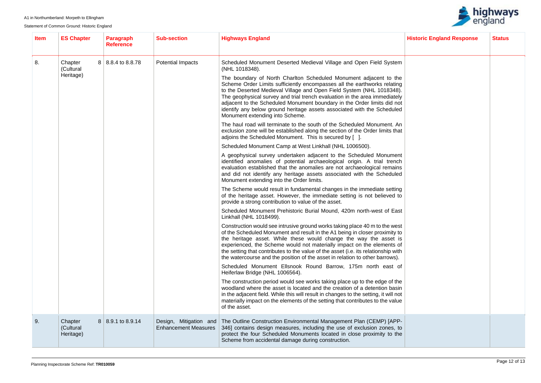

| Item | <b>ES Chapter</b>                 | <b>Paragraph</b><br><b>Reference</b> | <b>Sub-section</b>                                                                                                                                                                                                                                                                                                                               | <b>Highways England</b>                                                                                                                                                                                                                                                                                                                                                                                                                                                                       | <b>Historic England Response</b> | <b>Status</b> |
|------|-----------------------------------|--------------------------------------|--------------------------------------------------------------------------------------------------------------------------------------------------------------------------------------------------------------------------------------------------------------------------------------------------------------------------------------------------|-----------------------------------------------------------------------------------------------------------------------------------------------------------------------------------------------------------------------------------------------------------------------------------------------------------------------------------------------------------------------------------------------------------------------------------------------------------------------------------------------|----------------------------------|---------------|
| 8.   | Chapter<br>(Cultural<br>Heritage) | 8 8.8.4 to 8.8.78                    | <b>Potential Impacts</b>                                                                                                                                                                                                                                                                                                                         | Scheduled Monument Deserted Medieval Village and Open Field System<br>(NHL 1018348).                                                                                                                                                                                                                                                                                                                                                                                                          |                                  |               |
|      |                                   |                                      |                                                                                                                                                                                                                                                                                                                                                  | The boundary of North Charlton Scheduled Monument adjacent to the<br>Scheme Order Limits sufficiently encompasses all the earthworks relating<br>to the Deserted Medieval Village and Open Field System (NHL 1018348).<br>The geophysical survey and trial trench evaluation in the area immediately<br>adjacent to the Scheduled Monument boundary in the Order limits did not<br>identify any below ground heritage assets associated with the Scheduled<br>Monument extending into Scheme. |                                  |               |
|      |                                   |                                      |                                                                                                                                                                                                                                                                                                                                                  | The haul road will terminate to the south of the Scheduled Monument. An<br>exclusion zone will be established along the section of the Order limits that<br>adjoins the Scheduled Monument. This is secured by [].                                                                                                                                                                                                                                                                            |                                  |               |
|      |                                   |                                      |                                                                                                                                                                                                                                                                                                                                                  | Scheduled Monument Camp at West Linkhall (NHL 1006500).                                                                                                                                                                                                                                                                                                                                                                                                                                       |                                  |               |
|      |                                   |                                      | A geophysical survey undertaken adjacent to the Scheduled Monument<br>identified anomalies of potential archaeological origin. A trial trench<br>evaluation established that the anomalies are not archaeological remains<br>and did not identify any heritage assets associated with the Scheduled<br>Monument extending into the Order limits. |                                                                                                                                                                                                                                                                                                                                                                                                                                                                                               |                                  |               |
|      |                                   |                                      |                                                                                                                                                                                                                                                                                                                                                  | The Scheme would result in fundamental changes in the immediate setting<br>of the heritage asset. However, the immediate setting is not believed to<br>provide a strong contribution to value of the asset.                                                                                                                                                                                                                                                                                   |                                  |               |
|      |                                   |                                      |                                                                                                                                                                                                                                                                                                                                                  | Scheduled Monument Prehistoric Burial Mound, 420m north-west of East<br>Linkhall (NHL 1018499).                                                                                                                                                                                                                                                                                                                                                                                               |                                  |               |
|      |                                   |                                      |                                                                                                                                                                                                                                                                                                                                                  | Construction would see intrusive ground works taking place 40 m to the west<br>of the Scheduled Monument and result in the A1 being in closer proximity to<br>the heritage asset. While these would change the way the asset is<br>experienced, the Scheme would not materially impact on the elements of<br>the setting that contributes to the value of the asset (i.e. its relationship with<br>the watercourse and the position of the asset in relation to other barrows).               |                                  |               |
|      |                                   |                                      |                                                                                                                                                                                                                                                                                                                                                  | Scheduled Monument Ellsnook Round Barrow, 175m north east of<br>Heiferlaw Bridge (NHL 1006564).                                                                                                                                                                                                                                                                                                                                                                                               |                                  |               |
|      |                                   |                                      |                                                                                                                                                                                                                                                                                                                                                  | The construction period would see works taking place up to the edge of the<br>woodland where the asset is located and the creation of a detention basin<br>in the adjacent field. While this will result in changes to the setting, it will not<br>materially impact on the elements of the setting that contributes to the value<br>of the asset.                                                                                                                                            |                                  |               |
| -9.  | Chapter<br>(Cultural<br>Heritage) | $8 \mid 8.9.1$ to 8.9.14             | Design, Mitigation and<br><b>Enhancement Measures</b>                                                                                                                                                                                                                                                                                            | The Outline Construction Environmental Management Plan (CEMP) [APP-<br>346] contains design measures, including the use of exclusion zones, to<br>protect the four Scheduled Monuments located in close proximity to the<br>Scheme from accidental damage during construction.                                                                                                                                                                                                                |                                  |               |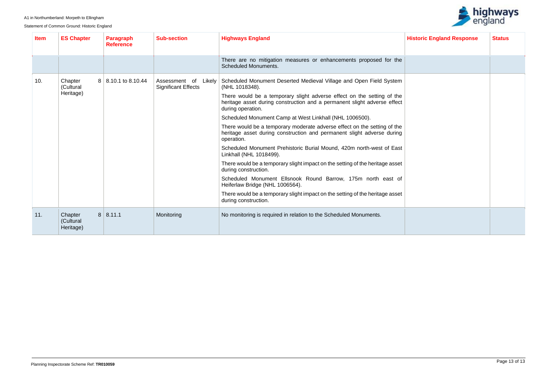

| <b>Item</b> | <b>ES Chapter</b>                 | <b>Paragraph</b><br><b>Reference</b> | <b>Sub-section</b>                                    | <b>Highways England</b>                                                                                                                                                 | <b>Historic England Response</b> | <b>Status</b> |
|-------------|-----------------------------------|--------------------------------------|-------------------------------------------------------|-------------------------------------------------------------------------------------------------------------------------------------------------------------------------|----------------------------------|---------------|
|             |                                   |                                      |                                                       | There are no mitigation measures or enhancements proposed for the<br><b>Scheduled Monuments.</b>                                                                        |                                  |               |
| 10.         | Chapter<br>(Cultural              | 8 8.10.1 to 8.10.44                  | Assessment of<br>Likely<br><b>Significant Effects</b> | Scheduled Monument Deserted Medieval Village and Open Field System<br>(NHL 1018348).                                                                                    |                                  |               |
|             | Heritage)                         |                                      |                                                       | There would be a temporary slight adverse effect on the setting of the<br>heritage asset during construction and a permanent slight adverse effect<br>during operation. |                                  |               |
|             |                                   |                                      |                                                       | Scheduled Monument Camp at West Linkhall (NHL 1006500).                                                                                                                 |                                  |               |
|             |                                   |                                      |                                                       | There would be a temporary moderate adverse effect on the setting of the<br>heritage asset during construction and permanent slight adverse during<br>operation.        |                                  |               |
|             |                                   |                                      |                                                       | Scheduled Monument Prehistoric Burial Mound, 420m north-west of East<br>Linkhall (NHL 1018499).                                                                         |                                  |               |
|             |                                   |                                      |                                                       | There would be a temporary slight impact on the setting of the heritage asset<br>during construction.                                                                   |                                  |               |
|             |                                   |                                      |                                                       | Scheduled Monument Ellsnook Round Barrow, 175m north east of<br>Heiferlaw Bridge (NHL 1006564).                                                                         |                                  |               |
|             |                                   |                                      |                                                       | There would be a temporary slight impact on the setting of the heritage asset<br>during construction.                                                                   |                                  |               |
| 11.         | Chapter<br>(Cultural<br>Heritage) | 8   8.11.1                           | Monitoring                                            | No monitoring is required in relation to the Scheduled Monuments.                                                                                                       |                                  |               |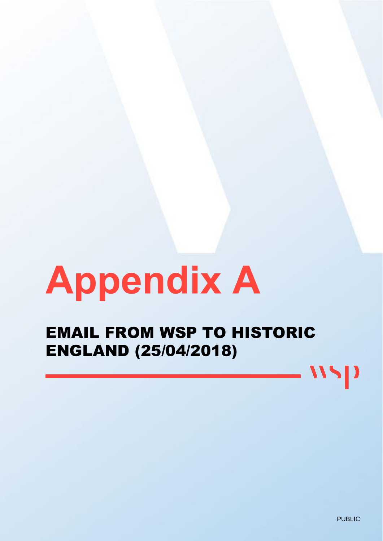# **Appendix A**

EMAIL FROM WSP TO HISTORIC ENGLAND (25/04/2018)

11.

 $\mathbf{D}$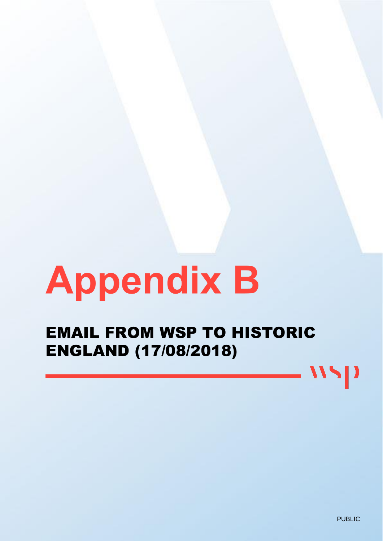# **Appendix B**

EMAIL FROM WSP TO HISTORIC ENGLAND (17/08/2018)

11.

 $\mathbf{D}$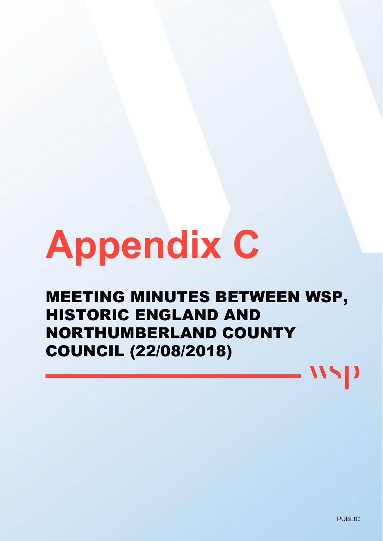# **Appendix C**

# MEETING MINUTES BETWEEN WSP, HISTORIC ENGLAND AND NORTHUMBERLAND COUNTY COUNCIL (22/08/2018)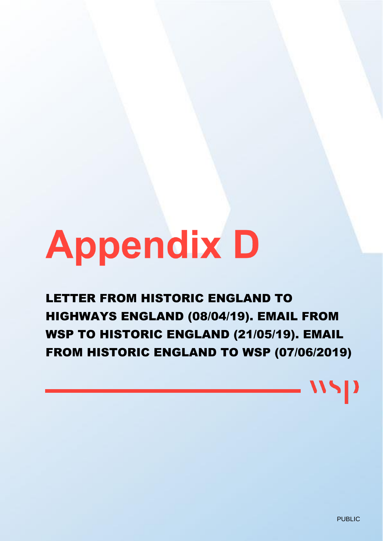# **Appendix D**

LETTER FROM HISTORIC ENGLAND TO HIGHWAYS ENGLAND (08/04/19). EMAIL FROM WSP TO HISTORIC ENGLAND (21/05/19). EMAIL FROM HISTORIC ENGLAND TO WSP (07/06/2019)

PUBLIC